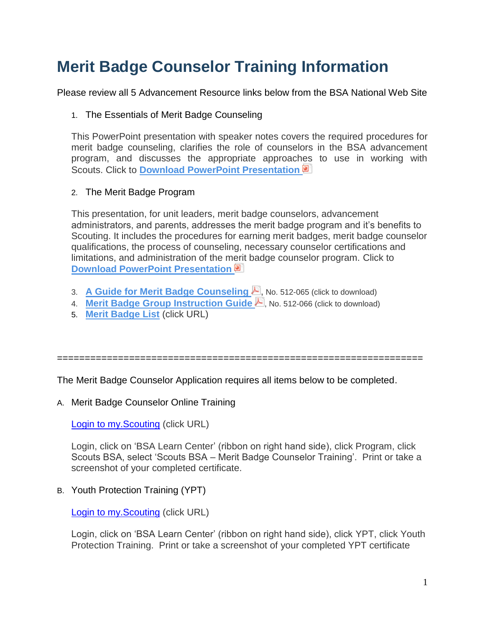# **Merit Badge Counselor Training Information**

Please review all 5 Advancement Resource links below from the BSA National Web Site

## 1. The Essentials of Merit Badge Counseling

This PowerPoint presentation with speaker notes covers the required procedures for merit badge counseling, clarifies the role of counselors in the BSA advancement program, and discusses the appropriate approaches to use in working with Scouts. Click to **[Download PowerPoint Presentation](https://filestore.scouting.org/filestore/training/advancement/Merit_Badge_Counselor/The_Essentials.pptx)**

#### 2. The Merit Badge Program

This presentation, for unit leaders, merit badge counselors, advancement administrators, and parents, addresses the merit badge program and it's benefits to Scouting. It includes the procedures for earning merit badges, merit badge counselor qualifications, the process of counseling, necessary counselor certifications and limitations, and administration of the merit badge counselor program. Click to **[Download PowerPoint Presentation](https://filestore.scouting.org/filestore/training/advancement/Merit_Badge_Counselor/The-Merit-Badge-Program.pptx)**

- 3. **[A Guide for Merit Badge Counseling](https://filestore.scouting.org/filestore/pdf/512-065.pdf) A**, No. 512-065 (click to download)
- 4. **[Merit Badge Group Instruction Guide](https://filestore.scouting.org/filestore/pdf/512-066_WEB.pdf)** No. 512-066 (click to download)
- 5. **[Merit Badge List](https://www.scouting.org/programs/scouts-bsa/advancement-and-awards/merit-badges)** (click URL)

==================================================================

The Merit Badge Counselor Application requires all items below to be completed.

## A. Merit Badge Counselor Online Training

[Login to my.Scouting](https://my.scouting.org/) (click URL)

Login, click on 'BSA Learn Center' (ribbon on right hand side), click Program, click Scouts BSA, select 'Scouts BSA – Merit Badge Counselor Training'. Print or take a screenshot of your completed certificate.

B. Youth Protection Training (YPT)

**Login to my. Scouting (click URL)** 

Login, click on 'BSA Learn Center' (ribbon on right hand side), click YPT, click Youth Protection Training. Print or take a screenshot of your completed YPT certificate